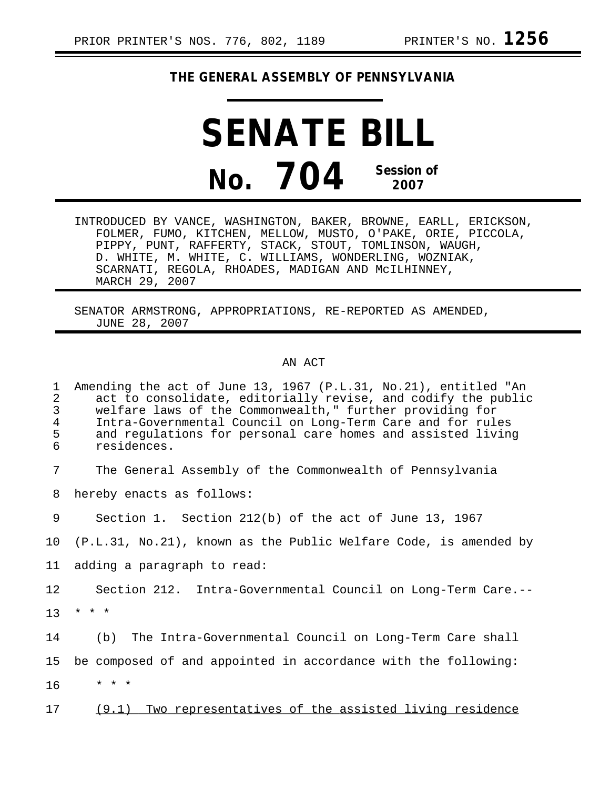## **THE GENERAL ASSEMBLY OF PENNSYLVANIA**

**SENATE BILL No. 704 Session of 2007**

INTRODUCED BY VANCE, WASHINGTON, BAKER, BROWNE, EARLL, ERICKSON, FOLMER, FUMO, KITCHEN, MELLOW, MUSTO, O'PAKE, ORIE, PICCOLA, PIPPY, PUNT, RAFFERTY, STACK, STOUT, TOMLINSON, WAUGH, D. WHITE, M. WHITE, C. WILLIAMS, WONDERLING, WOZNIAK, SCARNATI, REGOLA, RHOADES, MADIGAN AND McILHINNEY, MARCH 29, 2007

SENATOR ARMSTRONG, APPROPRIATIONS, RE-REPORTED AS AMENDED, JUNE 28, 2007

## AN ACT

1 Amending the act of June 13, 1967 (P.L.31, No.21), entitled "An 2 act to consolidate, editorially revise, and codify the public<br>3 welfare laws of the Commonwealth." further providing for 3 welfare laws of the Commonwealth," further providing for<br>4 Intra-Governmental Council on Long-Term Care and for rul 4 Intra-Governmental Council on Long-Term Care and for rules 5 and regulations for personal care homes and assisted living<br>6 residences. 6 residences. 7 The General Assembly of the Commonwealth of Pennsylvania 8 hereby enacts as follows: 9 Section 1. Section 212(b) of the act of June 13, 1967 10 (P.L.31, No.21), known as the Public Welfare Code, is amended by 11 adding a paragraph to read: 12 Section 212. Intra-Governmental Council on Long-Term Care.--  $13 * * * *$ 14 (b) The Intra-Governmental Council on Long-Term Care shall 15 be composed of and appointed in accordance with the following: 16 \* \* \* 17 (9.1) Two representatives of the assisted living residence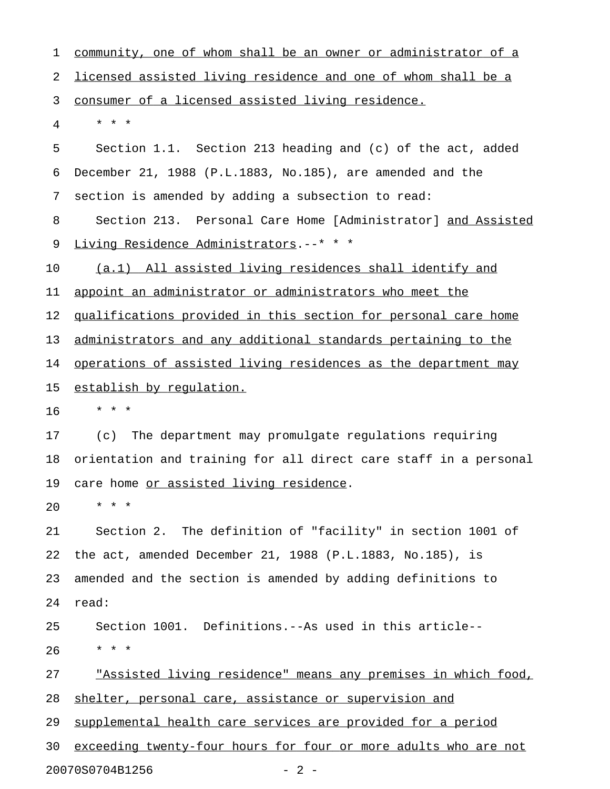1 community, one of whom shall be an owner or administrator of a 2 licensed assisted living residence and one of whom shall be a 3 consumer of a licensed assisted living residence. 4 \* \* \* 5 Section 1.1. Section 213 heading and (c) of the act, added 6 December 21, 1988 (P.L.1883, No.185), are amended and the 7 section is amended by adding a subsection to read: 8 Section 213. Personal Care Home [Administrator] and Assisted 9 Living Residence Administrators.--\* \* \* 10 (a.1) All assisted living residences shall identify and 11 appoint an administrator or administrators who meet the 12 qualifications provided in this section for personal care home 13 administrators and any additional standards pertaining to the 14 operations of assisted living residences as the department may 15 establish by requlation. 16 \* \* \* 17 (c) The department may promulgate regulations requiring 18 orientation and training for all direct care staff in a personal 19 care home or assisted living residence. 20 \* \* \* 21 Section 2. The definition of "facility" in section 1001 of 22 the act, amended December 21, 1988 (P.L.1883, No.185), is 23 amended and the section is amended by adding definitions to 24 read: 25 Section 1001. Definitions.--As used in this article-- 26 \* \* \* 27 "Assisted living residence" means any premises in which food, 28 shelter, personal care, assistance or supervision and 29 supplemental health care services are provided for a period 30 exceeding twenty-four hours for four or more adults who are not 20070S0704B1256 - 2 -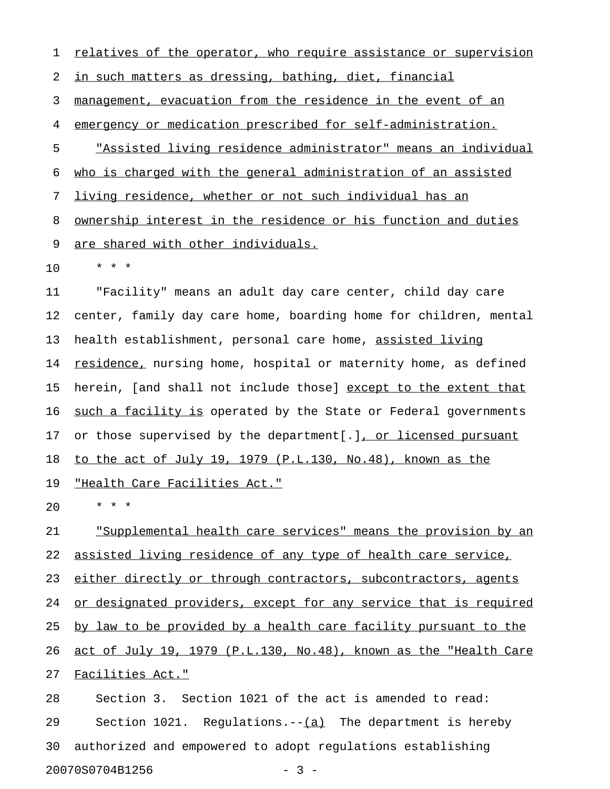1 relatives of the operator, who require assistance or supervision 2 in such matters as dressing, bathing, diet, financial 3 management, evacuation from the residence in the event of an 4 emergency or medication prescribed for self-administration. 5 "Assisted living residence administrator" means an individual 6 who is charged with the general administration of an assisted 7 living residence, whether or not such individual has an 8 ownership interest in the residence or his function and duties 9 are shared with other individuals. 10 \* \* \*

11 "Facility" means an adult day care center, child day care 12 center, family day care home, boarding home for children, mental 13 health establishment, personal care home, assisted living 14 <u>residence,</u> nursing home, hospital or maternity home, as defined 15 herein, [and shall not include those] except to the extent that 16 such a facility is operated by the State or Federal governments 17 or those supervised by the department[.], or licensed pursuant 18 to the act of July 19, 1979 (P.L.130, No.48), known as the 19 "Health Care Facilities Act."

20 \* \* \*

21 Supplemental health care services" means the provision by an 22 assisted living residence of any type of health care service, 23 either directly or through contractors, subcontractors, agents 24 or designated providers, except for any service that is required 25 by law to be provided by a health care facility pursuant to the 26 act of July 19, 1979 (P.L.130, No.48), known as the "Health Care 27 Facilities Act."

28 Section 3. Section 1021 of the act is amended to read: 29 Section 1021. Regulations. $-(-1)^2$  The department is hereby 30 authorized and empowered to adopt regulations establishing 20070S0704B1256 - 3 -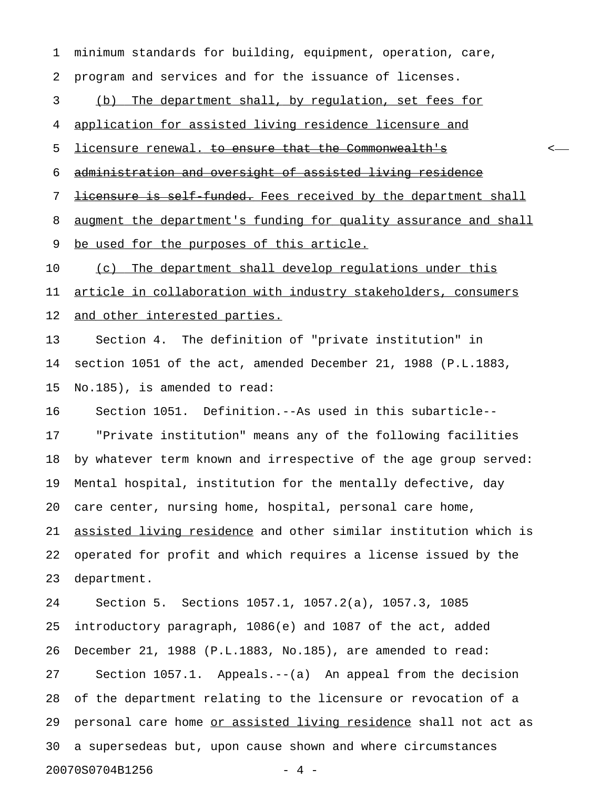1 minimum standards for building, equipment, operation, care, 2 program and services and for the issuance of licenses. 3 (b) The department shall, by requlation, set fees for 4 application for assisted living residence licensure and 5 licensure renewal. to ensure that the Commonwealth's <-6 administration and oversight of assisted living residence 7 <del>licensure is self funded.</del> Fees received by the department shall 8 augment the department's funding for quality assurance and shall 9 be used for the purposes of this article. 10 (c) The department shall develop requiations under this 11 article in collaboration with industry stakeholders, consumers 12 and other interested parties. 13 Section 4. The definition of "private institution" in 14 section 1051 of the act, amended December 21, 1988 (P.L.1883, 15 No.185), is amended to read: 16 Section 1051. Definition.--As used in this subarticle-- 17 "Private institution" means any of the following facilities 18 by whatever term known and irrespective of the age group served: 19 Mental hospital, institution for the mentally defective, day 20 care center, nursing home, hospital, personal care home, 21 assisted living residence and other similar institution which is 22 operated for profit and which requires a license issued by the 23 department. 24 Section 5. Sections 1057.1, 1057.2(a), 1057.3, 1085 25 introductory paragraph, 1086(e) and 1087 of the act, added 26 December 21, 1988 (P.L.1883, No.185), are amended to read: 27 Section 1057.1. Appeals.--(a) An appeal from the decision 28 of the department relating to the licensure or revocation of a 29 personal care home or assisted living residence shall not act as 30 a supersedeas but, upon cause shown and where circumstances 20070S0704B1256 - 4 -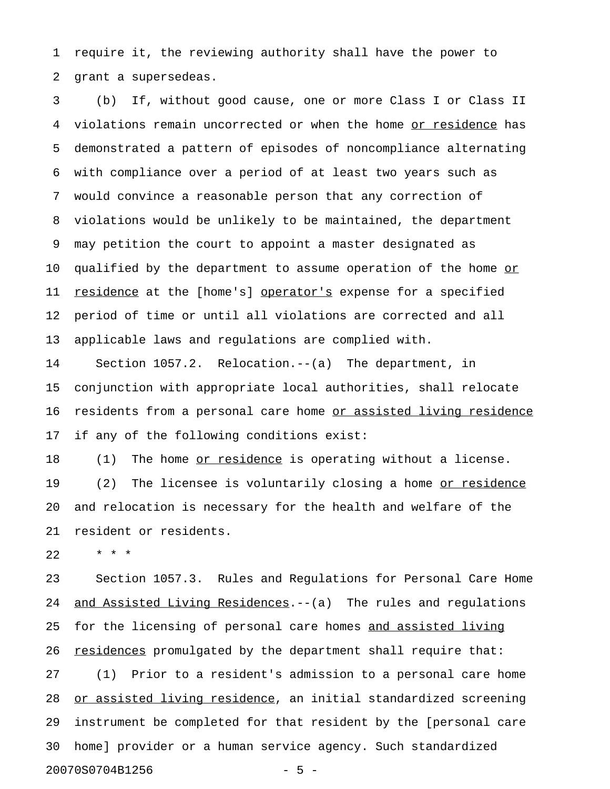1 require it, the reviewing authority shall have the power to 2 grant a supersedeas.

3 (b) If, without good cause, one or more Class I or Class II 4 violations remain uncorrected or when the home or residence has 5 demonstrated a pattern of episodes of noncompliance alternating 6 with compliance over a period of at least two years such as 7 would convince a reasonable person that any correction of 8 violations would be unlikely to be maintained, the department 9 may petition the court to appoint a master designated as 10 qualified by the department to assume operation of the home or 11 <u>residence</u> at the [home's] operator's expense for a specified 12 period of time or until all violations are corrected and all 13 applicable laws and regulations are complied with.

14 Section 1057.2. Relocation.--(a) The department, in 15 conjunction with appropriate local authorities, shall relocate 16 residents from a personal care home or assisted living residence 17 if any of the following conditions exist:

18 (1) The home <u>or residence</u> is operating without a license. 19 (2) The licensee is voluntarily closing a home or residence 20 and relocation is necessary for the health and welfare of the 21 resident or residents.

22 \* \* \*

23 Section 1057.3. Rules and Regulations for Personal Care Home 24 and Assisted Living Residences.--(a) The rules and regulations 25 for the licensing of personal care homes and assisted living 26 residences promulgated by the department shall require that: 27 (1) Prior to a resident's admission to a personal care home 28 or assisted living residence, an initial standardized screening 29 instrument be completed for that resident by the [personal care 30 home] provider or a human service agency. Such standardized 20070S0704B1256 - 5 -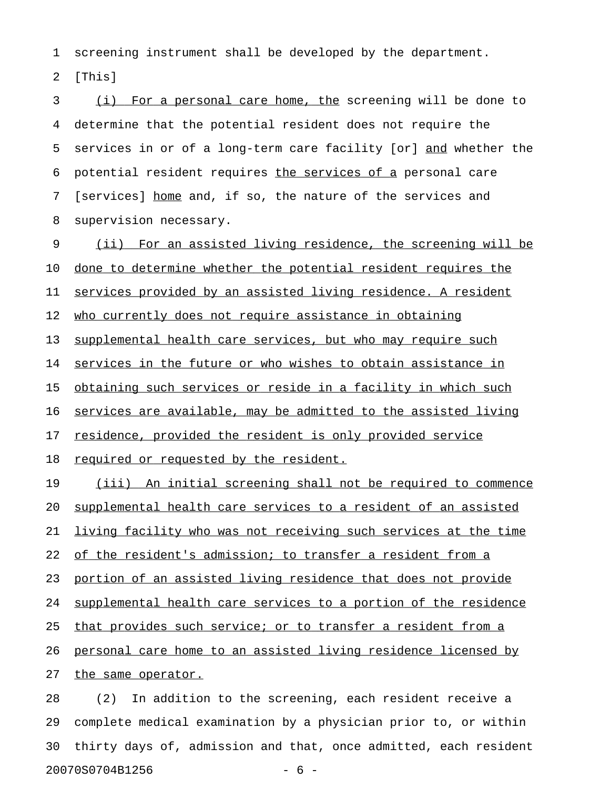1 screening instrument shall be developed by the department.

2 [This]

3 (i) For a personal care home, the screening will be done to 4 determine that the potential resident does not require the 5 services in or of a long-term care facility [or] and whether the 6 potential resident requires the services of a personal care 7 [services] home and, if so, the nature of the services and 8 supervision necessary.

9 (ii) For an assisted living residence, the screening will be 10 done to determine whether the potential resident requires the 11 services provided by an assisted living residence. A resident 12 who currently does not require assistance in obtaining 13 supplemental health care services, but who may require such 14 services in the future or who wishes to obtain assistance in 15 obtaining such services or reside in a facility in which such 16 services are available, may be admitted to the assisted living 17 residence, provided the resident is only provided service 18 required or requested by the resident. 19 (iii) An initial screening shall not be required to commence 20 supplemental health care services to a resident of an assisted 21 living facility who was not receiving such services at the time 22 of the resident's admission; to transfer a resident from a 23 portion of an assisted living residence that does not provide 24 supplemental health care services to a portion of the residence 25 that provides such service; or to transfer a resident from a 26 personal care home to an assisted living residence licensed by 27 the same operator.

28 (2) In addition to the screening, each resident receive a 29 complete medical examination by a physician prior to, or within 30 thirty days of, admission and that, once admitted, each resident 20070S0704B1256 - 6 -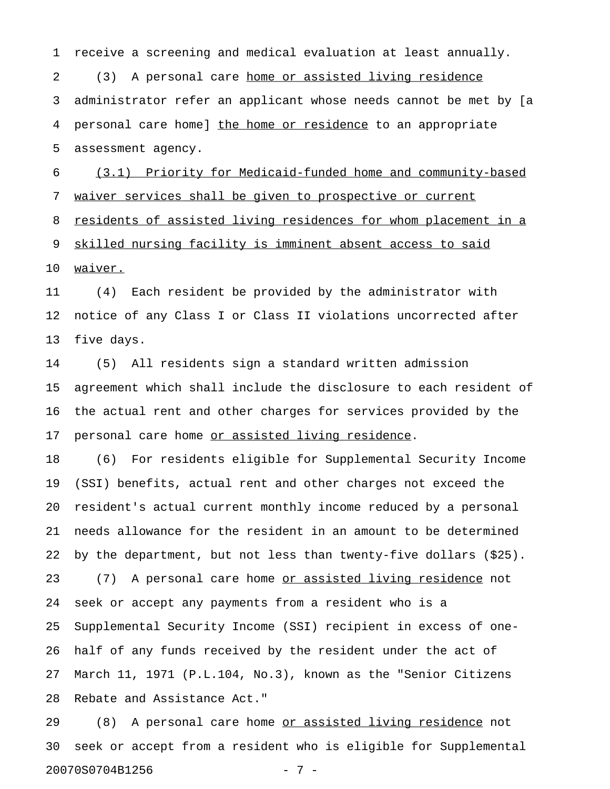1 receive a screening and medical evaluation at least annually.

2 (3) A personal care home or assisted living residence 3 administrator refer an applicant whose needs cannot be met by [a 4 personal care home] the home or residence to an appropriate 5 assessment agency.

6 (3.1) Priority for Medicaid-funded home and community-based 7 waiver services shall be given to prospective or current 8 residents of assisted living residences for whom placement in a 9 skilled nursing facility is imminent absent access to said 10 waiver.

11 (4) Each resident be provided by the administrator with 12 notice of any Class I or Class II violations uncorrected after 13 five days.

14 (5) All residents sign a standard written admission 15 agreement which shall include the disclosure to each resident of 16 the actual rent and other charges for services provided by the 17 personal care home or assisted living residence.

18 (6) For residents eligible for Supplemental Security Income 19 (SSI) benefits, actual rent and other charges not exceed the 20 resident's actual current monthly income reduced by a personal 21 needs allowance for the resident in an amount to be determined 22 by the department, but not less than twenty-five dollars (\$25). 23 (7) A personal care home <u>or assisted living residence</u> not 24 seek or accept any payments from a resident who is a 25 Supplemental Security Income (SSI) recipient in excess of one-26 half of any funds received by the resident under the act of 27 March 11, 1971 (P.L.104, No.3), known as the "Senior Citizens 28 Rebate and Assistance Act."

29 (8) A personal care home <u>or assisted living residence</u> not 30 seek or accept from a resident who is eligible for Supplemental 20070S0704B1256 - 7 -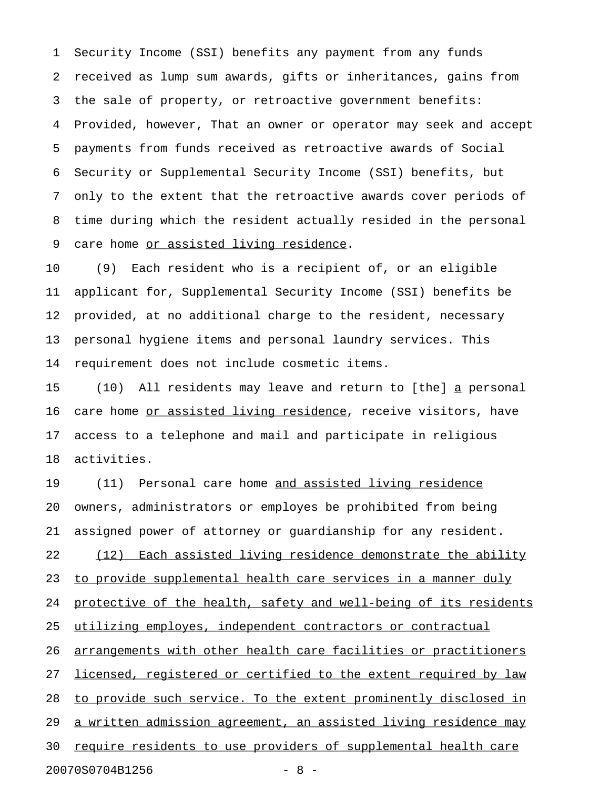1 Security Income (SSI) benefits any payment from any funds 2 received as lump sum awards, gifts or inheritances, gains from 3 the sale of property, or retroactive government benefits: 4 Provided, however, That an owner or operator may seek and accept 5 payments from funds received as retroactive awards of Social 6 Security or Supplemental Security Income (SSI) benefits, but 7 only to the extent that the retroactive awards cover periods of 8 time during which the resident actually resided in the personal 9 care home or assisted living residence.

10 (9) Each resident who is a recipient of, or an eligible 11 applicant for, Supplemental Security Income (SSI) benefits be 12 provided, at no additional charge to the resident, necessary 13 personal hygiene items and personal laundry services. This 14 requirement does not include cosmetic items.

15 (10) All residents may leave and return to [the] a personal \_ 16 care home or assisted living residence, receive visitors, have 17 access to a telephone and mail and participate in religious 18 activities.

19 (11) Personal care home and assisted living residence 20 owners, administrators or employes be prohibited from being 21 assigned power of attorney or guardianship for any resident. 22 (12) Each assisted living residence demonstrate the ability 23 to provide supplemental health care services in a manner duly 24 protective of the health, safety and well-being of its residents 25 utilizing employes, independent contractors or contractual 26 arrangements with other health care facilities or practitioners 27 licensed, reqistered or certified to the extent required by law 28 to provide such service. To the extent prominently disclosed in 29 a written admission agreement, an assisted living residence may 30 require residents to use providers of supplemental health care 20070S0704B1256 - 8 -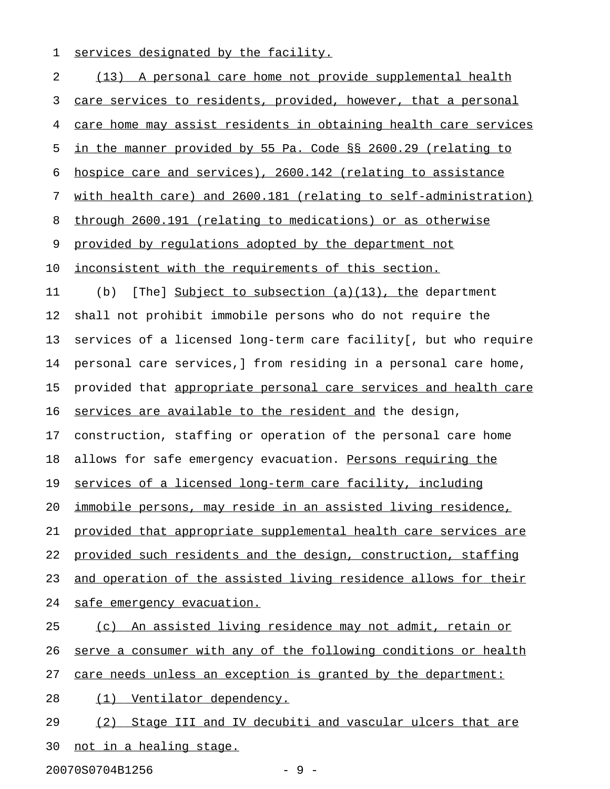1 services designated by the facility.

| 2  | (13) A personal care home not provide supplemental health             |
|----|-----------------------------------------------------------------------|
| 3  | care services to residents, provided, however, that a personal        |
| 4  | care home may assist residents in obtaining health care services      |
| 5  | in the manner provided by 55 Pa. Code §§ 2600.29 (relating to         |
| 6  | hospice care and services), 2600.142 (relating to assistance          |
| 7  | with health care) and 2600.181 (relating to self-administration)      |
| 8  | through 2600.191 (relating to medications) or as otherwise            |
| 9  | provided by regulations adopted by the department not                 |
| 10 | inconsistent with the requirements of this section.                   |
| 11 | [The] Subject to subsection $(a)(13)$ , the department<br>(b)         |
| 12 | shall not prohibit immobile persons who do not require the            |
| 13 | services of a licensed long-term care facility[, but who require      |
| 14 | personal care services, I from residing in a personal care home,      |
| 15 | provided that appropriate personal care services and health care      |
| 16 | services are available to the resident and the design,                |
| 17 | construction, staffing or operation of the personal care home         |
| 18 | allows for safe emergency evacuation. Persons requiring the           |
| 19 | services of a licensed long-term care facility, including             |
| 20 | <u>immobile persons, may reside in an assisted living residence, </u> |
| 21 | provided that appropriate supplemental health care services are       |
| 22 | provided such residents and the design, construction, staffing        |
| 23 | and operation of the assisted living residence allows for their       |
| 24 | safe emergency evacuation.                                            |
| 25 | (c) An assisted living residence may not admit, retain or             |
| 26 | serve a consumer with any of the following conditions or health       |
| 27 | care needs unless an exception is granted by the department:          |
| 28 | <u>Ventilator dependency.</u><br>(1)                                  |
| 29 | Stage III and IV decubiti and vascular ulcers that are<br>(2)         |
| 30 | not in a healing stage.                                               |

20070S0704B1256 - 9 -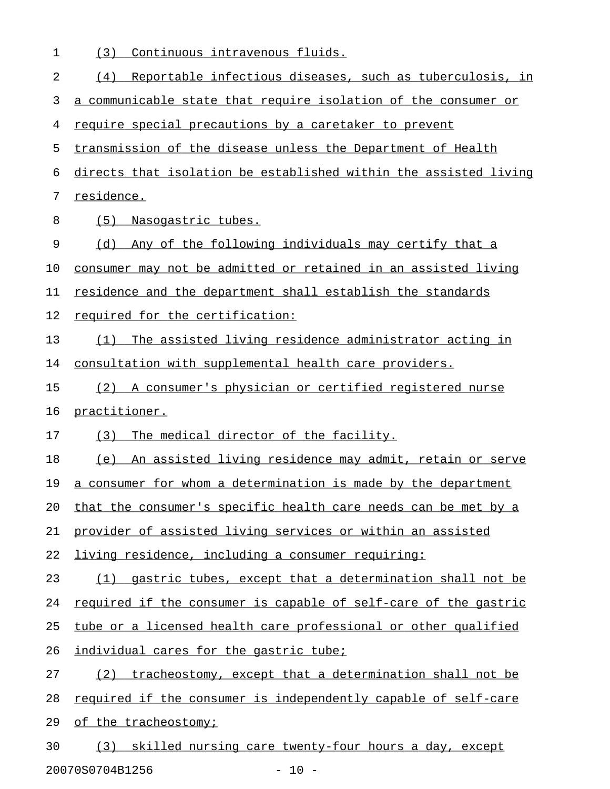| 1  | Continuous intravenous fluids.<br>(3)                            |
|----|------------------------------------------------------------------|
| 2  | Reportable infectious diseases, such as tuberculosis, in<br>(4)  |
| 3  | a communicable state that require isolation of the consumer or   |
| 4  | require special precautions by a caretaker to prevent            |
| 5  | transmission of the disease unless the Department of Health      |
| 6  | directs that isolation be established within the assisted living |
| 7  | residence.                                                       |
| 8  | (5)<br>Nasogastric tubes.                                        |
| 9  | Any of the following individuals may certify that a<br>(d)       |
| 10 | consumer may not be admitted or retained in an assisted living   |
| 11 | residence and the department shall establish the standards       |
| 12 | required for the certification:                                  |
| 13 | The assisted living residence administrator acting in<br>(1)     |
| 14 | consultation with supplemental health care providers.            |
| 15 | (2) A consumer's physician or certified registered nurse         |
| 16 | practitioner.                                                    |
| 17 | (3)<br>The medical director of the facility.                     |
| 18 | An assisted living residence may admit, retain or serve<br>(e)   |
| 19 | a consumer for whom a determination is made by the department    |
| 20 | that the consumer's specific health care needs can be met by a   |
| 21 | provider of assisted living services or within an assisted       |
| 22 | living residence, including a consumer requiring:                |
| 23 | (1) gastric tubes, except that a determination shall not be      |
| 24 | required if the consumer is capable of self-care of the gastric  |
| 25 | tube or a licensed health care professional or other qualified   |
| 26 | individual cares for the gastric tube;                           |
| 27 | (2) tracheostomy, except that a determination shall not be       |
| 28 | required if the consumer is independently capable of self-care   |
| 29 | of the tracheostomy;                                             |
| 30 | (3) skilled nursing care twenty-four hours a day, except         |

20070S0704B1256 - 10 -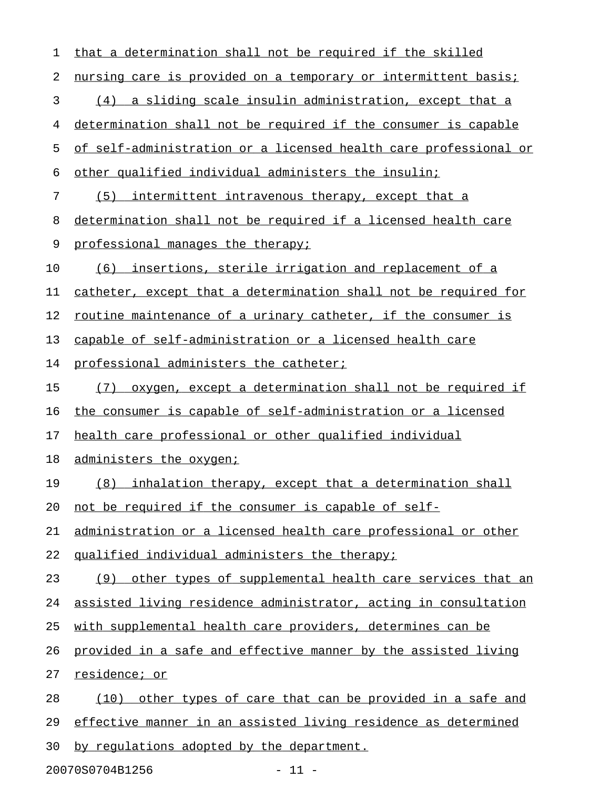| $\mathbf 1$ | that a determination shall not be required if the skilled        |
|-------------|------------------------------------------------------------------|
| 2           | nursing care is provided on a temporary or intermittent basis;   |
| 3           | (4) a sliding scale insulin administration, except that a        |
| 4           | determination shall not be required if the consumer is capable   |
| 5           | of self-administration or a licensed health care professional or |
| 6           | other qualified individual administers the insulin;              |
| 7           | (5)<br>intermittent intravenous therapy, except that a           |
| 8           | determination shall not be required if a licensed health care    |
| 9           | professional manages the therapy;                                |
| 10          | (6) insertions, sterile irrigation and replacement of a          |
| 11          | catheter, except that a determination shall not be required for  |
| 12          | routine maintenance of a urinary catheter, if the consumer is    |
| 13          | capable of self-administration or a licensed health care         |
| 14          | professional administers the catheter;                           |
| 15          | oxygen, except a determination shall not be required if<br>(7)   |
| 16          | the consumer is capable of self-administration or a licensed     |
| 17          | health care professional or other qualified individual           |
| 18          | administers the oxygen;                                          |
| 19          | (8) inhalation therapy, except that a determination shall        |
| 20          | not be required if the consumer is capable of self-              |
| 21          | administration or a licensed health care professional or other   |
| 22          | qualified individual administers the therapy;                    |
| 23          | other types of supplemental health care services that an<br>(9)  |
| 24          | assisted living residence administrator, acting in consultation  |
| 25          | with supplemental health care providers, determines can be       |
| 26          | provided in a safe and effective manner by the assisted living   |
| 27          | residence; or                                                    |
| 28          | other types of care that can be provided in a safe and<br>(10)   |
| 29          | effective manner in an assisted living residence as determined   |
| 30          | by regulations adopted by the department.                        |

20070S0704B1256 - 11 -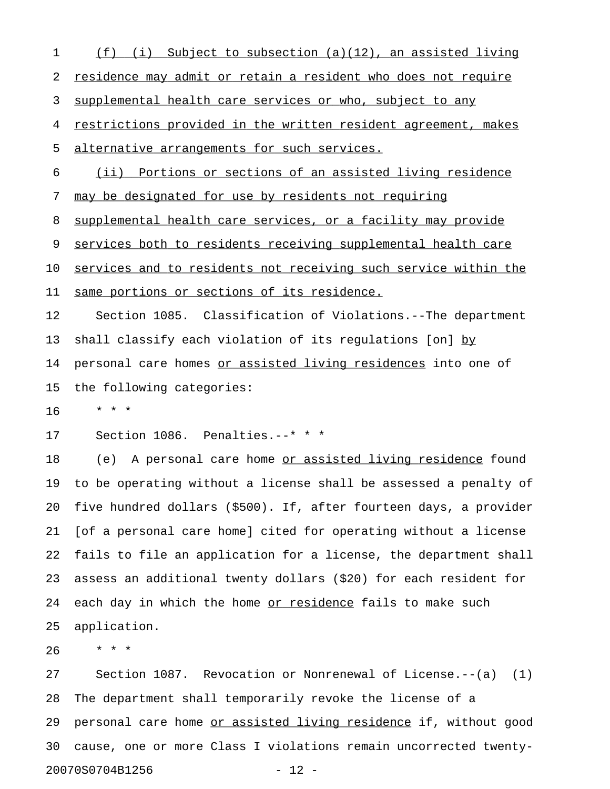| 1  | (i)<br>Subject to subsection (a)(12), an assisted living<br>(f)    |
|----|--------------------------------------------------------------------|
| 2  | residence may admit or retain a resident who does not require      |
| 3  | supplemental health care services or who, subject to any           |
| 4  | restrictions provided in the written resident agreement, makes     |
| 5  | alternative arrangements for such services.                        |
| 6  | (ii) Portions or sections of an assisted living residence          |
| 7  | may be designated for use by residents not requiring               |
| 8  | supplemental health care services, or a facility may provide       |
| 9  | services both to residents receiving supplemental health care      |
| 10 | services and to residents not receiving such service within the    |
| 11 | same portions or sections of its residence.                        |
| 12 | Section 1085. Classification of Violations.--The department        |
| 13 | shall classify each violation of its regulations [on] by           |
| 14 | personal care homes or assisted living residences into one of      |
| 15 | the following categories:                                          |
| 16 | $\star$ $\star$<br>$\star$                                         |
| 17 | Section 1086. Penalties.--* * *                                    |
| 18 | (e) A personal care home <u>or assisted living residence</u> found |
| 19 | to be operating without a license shall be assessed a penalty of   |
| 20 | five hundred dollars (\$500). If, after fourteen days, a provider  |
| 21 | [of a personal care home] cited for operating without a license    |
| 22 | fails to file an application for a license, the department shall   |
| 23 | assess an additional twenty dollars (\$20) for each resident for   |
| 24 | each day in which the home or residence fails to make such         |
| 25 | application.                                                       |
| 26 | $\star$ $\star$ $\star$                                            |
| 27 | Section 1087. Revocation or Nonrenewal of License. $--(a)$ (1)     |
|    |                                                                    |

28 The department shall temporarily revoke the license of a 29 personal care home or assisted living residence if, without good 30 cause, one or more Class I violations remain uncorrected twenty-20070S0704B1256 - 12 -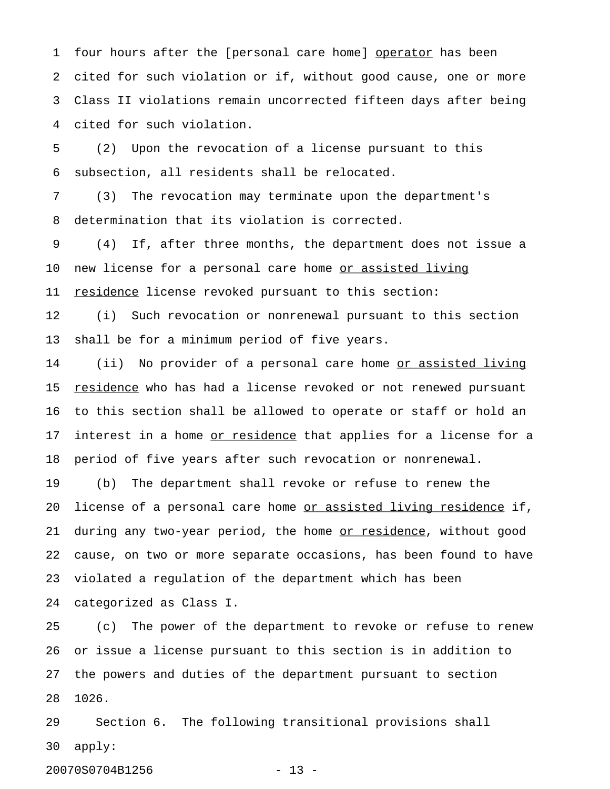1 four hours after the [personal care home] operator has been 2 cited for such violation or if, without good cause, one or more 3 Class II violations remain uncorrected fifteen days after being 4 cited for such violation.

5 (2) Upon the revocation of a license pursuant to this 6 subsection, all residents shall be relocated.

7 (3) The revocation may terminate upon the department's 8 determination that its violation is corrected.

9 (4) If, after three months, the department does not issue a 10 new license for a personal care home or assisted living 11 residence license revoked pursuant to this section:

12 (i) Such revocation or nonrenewal pursuant to this section 13 shall be for a minimum period of five years.

14 (ii) No provider of a personal care home <u>or assisted living</u> 15 <u>residence</u> who has had a license revoked or not renewed pursuant 16 to this section shall be allowed to operate or staff or hold an 17 interest in a home or residence that applies for a license for a 18 period of five years after such revocation or nonrenewal.

19 (b) The department shall revoke or refuse to renew the 20 license of a personal care home <u>or assisted living residence</u> if, 21 during any two-year period, the home or residence, without good 22 cause, on two or more separate occasions, has been found to have 23 violated a regulation of the department which has been 24 categorized as Class I.

25 (c) The power of the department to revoke or refuse to renew 26 or issue a license pursuant to this section is in addition to 27 the powers and duties of the department pursuant to section 28 1026.

29 Section 6. The following transitional provisions shall 30 apply:

20070S0704B1256 - 13 -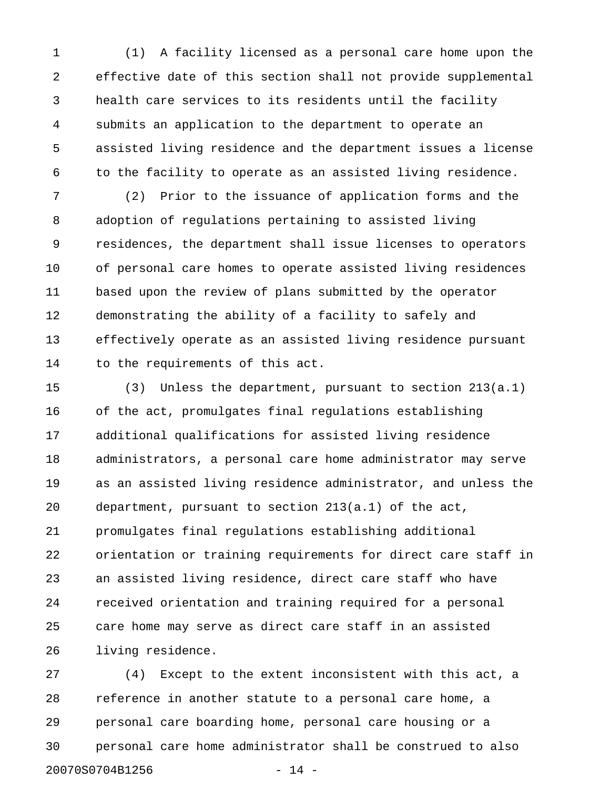1 (1) A facility licensed as a personal care home upon the 2 effective date of this section shall not provide supplemental 3 health care services to its residents until the facility 4 submits an application to the department to operate an 5 assisted living residence and the department issues a license 6 to the facility to operate as an assisted living residence.

7 (2) Prior to the issuance of application forms and the 8 adoption of regulations pertaining to assisted living 9 residences, the department shall issue licenses to operators 10 of personal care homes to operate assisted living residences 11 based upon the review of plans submitted by the operator 12 demonstrating the ability of a facility to safely and 13 effectively operate as an assisted living residence pursuant 14 to the requirements of this act.

15 (3) Unless the department, pursuant to section 213(a.1) 16 of the act, promulgates final regulations establishing 17 additional qualifications for assisted living residence 18 administrators, a personal care home administrator may serve 19 as an assisted living residence administrator, and unless the 20 department, pursuant to section 213(a.1) of the act, 21 promulgates final regulations establishing additional 22 orientation or training requirements for direct care staff in 23 an assisted living residence, direct care staff who have 24 received orientation and training required for a personal 25 care home may serve as direct care staff in an assisted 26 living residence.

27 (4) Except to the extent inconsistent with this act, a 28 reference in another statute to a personal care home, a 29 personal care boarding home, personal care housing or a 30 personal care home administrator shall be construed to also 20070S0704B1256 - 14 -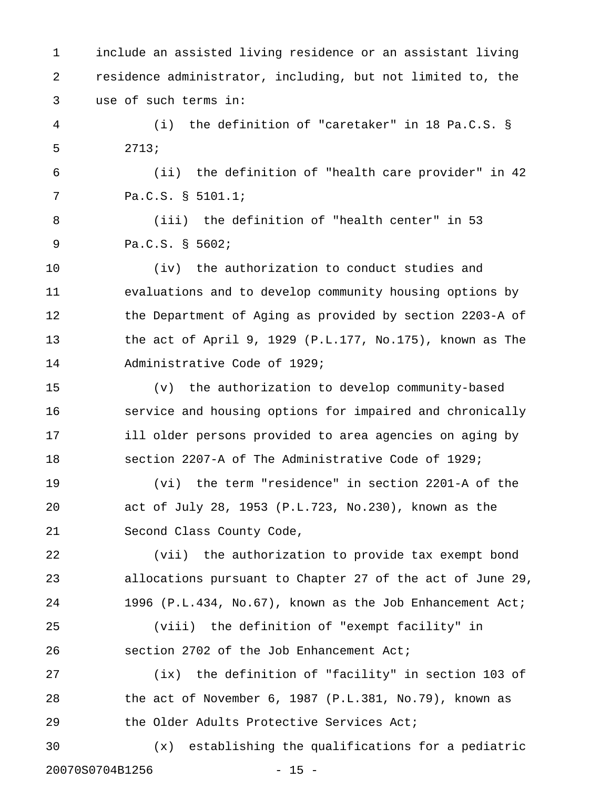1 include an assisted living residence or an assistant living 2 residence administrator, including, but not limited to, the 3 use of such terms in:

4 (i) the definition of "caretaker" in 18 Pa.C.S. § 5 2713;

6 (ii) the definition of "health care provider" in 42 7 Pa.C.S. § 5101.1;

8 (iii) the definition of "health center" in 53 9 Pa.C.S. § 5602;

10 (iv) the authorization to conduct studies and 11 evaluations and to develop community housing options by 12 the Department of Aging as provided by section 2203-A of 13 the act of April 9, 1929 (P.L.177, No.175), known as The 14 Administrative Code of 1929;

15 (v) the authorization to develop community-based 16 service and housing options for impaired and chronically 17 ill older persons provided to area agencies on aging by 18 section 2207-A of The Administrative Code of 1929;

19 (vi) the term "residence" in section 2201-A of the 20 act of July 28, 1953 (P.L.723, No.230), known as the 21 Second Class County Code,

22 (vii) the authorization to provide tax exempt bond 23 allocations pursuant to Chapter 27 of the act of June 29, 24 1996 (P.L.434, No.67), known as the Job Enhancement Act;

25 (viii) the definition of "exempt facility" in 26 section 2702 of the Job Enhancement Act;

27 (ix) the definition of "facility" in section 103 of 28 the act of November 6, 1987 (P.L.381, No.79), known as 29 the Older Adults Protective Services Act;

30 (x) establishing the qualifications for a pediatric 20070S0704B1256 - 15 -